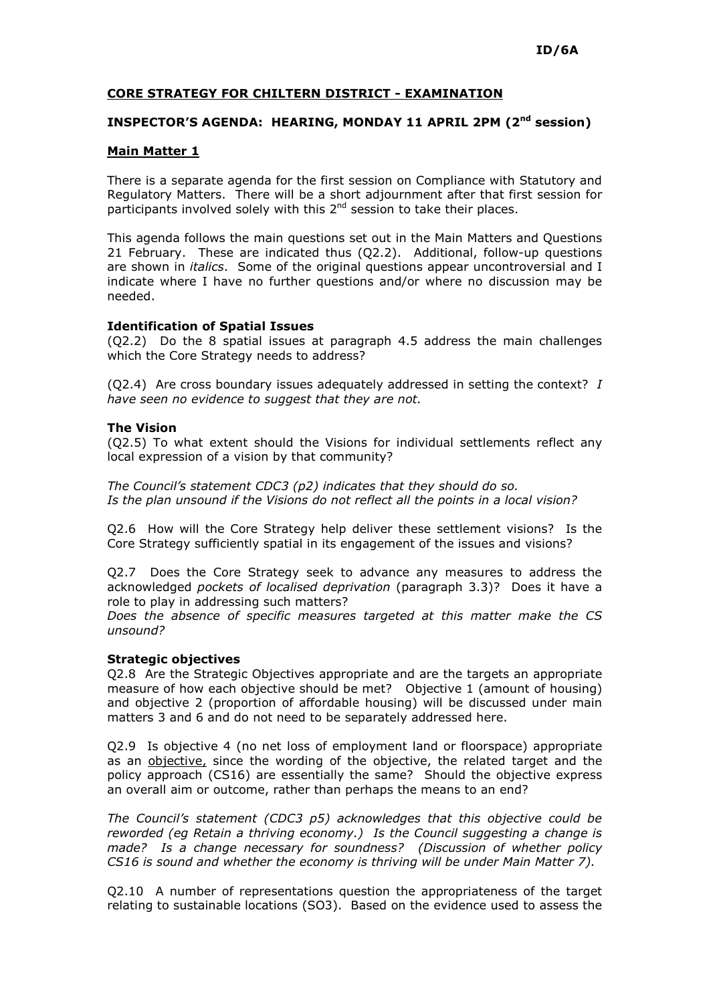## CORE STRATEGY FOR CHILTERN DISTRICT - EXAMINATION

# INSPECTOR'S AGENDA: HEARING, MONDAY 11 APRIL 2PM (2<sup>nd</sup> session)

### Main Matter 1

There is a separate agenda for the first session on Compliance with Statutory and Regulatory Matters. There will be a short adjournment after that first session for participants involved solely with this 2<sup>nd</sup> session to take their places.

This agenda follows the main questions set out in the Main Matters and Questions 21 February. These are indicated thus (Q2.2). Additional, follow-up questions are shown in *italics*. Some of the original questions appear uncontroversial and I indicate where I have no further questions and/or where no discussion may be needed.

### Identification of Spatial Issues

(Q2.2) Do the 8 spatial issues at paragraph 4.5 address the main challenges which the Core Strategy needs to address?

(O2.4) Are cross boundary issues adequately addressed in setting the context?  $I$ have seen no evidence to suggest that they are not.

### The Vision

(Q2.5) To what extent should the Visions for individual settlements reflect any local expression of a vision by that community?

The Council's statement CDC3 (p2) indicates that they should do so. Is the plan unsound if the Visions do not reflect all the points in a local vision?

Q2.6 How will the Core Strategy help deliver these settlement visions? Is the Core Strategy sufficiently spatial in its engagement of the issues and visions?

Q2.7 Does the Core Strategy seek to advance any measures to address the acknowledged pockets of localised deprivation (paragraph 3.3)? Does it have a role to play in addressing such matters?

Does the absence of specific measures targeted at this matter make the CS unsound?

#### Strategic objectives

Q2.8 Are the Strategic Objectives appropriate and are the targets an appropriate measure of how each objective should be met? Objective 1 (amount of housing) and objective 2 (proportion of affordable housing) will be discussed under main matters 3 and 6 and do not need to be separately addressed here.

Q2.9 Is objective 4 (no net loss of employment land or floorspace) appropriate as an objective, since the wording of the objective, the related target and the policy approach (CS16) are essentially the same? Should the objective express an overall aim or outcome, rather than perhaps the means to an end?

The Council's statement (CDC3 p5) acknowledges that this objective could be reworded (eg Retain a thriving economy.) Is the Council suggesting a change is made? Is a change necessary for soundness? (Discussion of whether policy CS16 is sound and whether the economy is thriving will be under Main Matter 7).

Q2.10 A number of representations question the appropriateness of the target relating to sustainable locations (SO3). Based on the evidence used to assess the